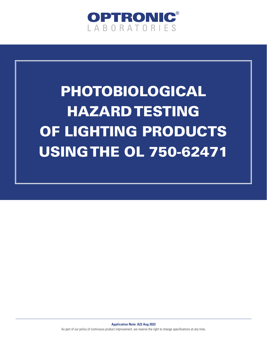

## PHOTOBIOLOGICAL HAZARD TESTING OF LIGHTING PRODUCTS USING THE OL 750-62471